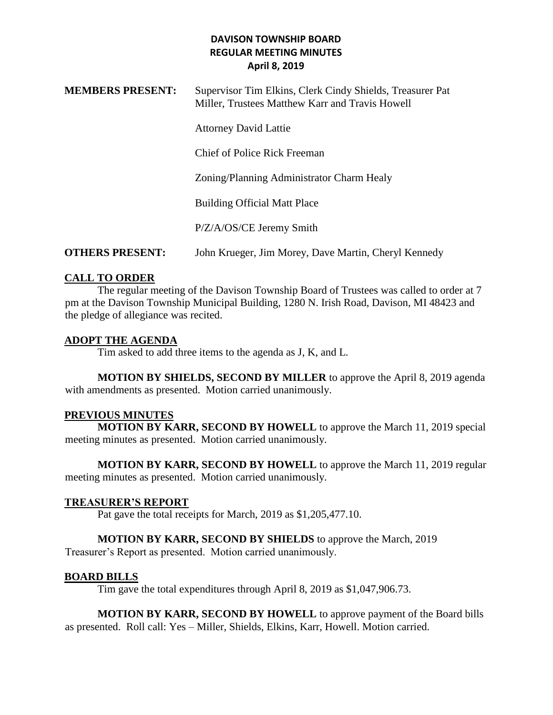| <b>MEMBERS PRESENT:</b> | Supervisor Tim Elkins, Clerk Cindy Shields, Treasurer Pat<br>Miller, Trustees Matthew Karr and Travis Howell |
|-------------------------|--------------------------------------------------------------------------------------------------------------|
|                         | <b>Attorney David Lattie</b>                                                                                 |
|                         | Chief of Police Rick Freeman                                                                                 |
|                         | Zoning/Planning Administrator Charm Healy                                                                    |
|                         | <b>Building Official Matt Place</b>                                                                          |
|                         | P/Z/A/OS/CE Jeremy Smith                                                                                     |
| <b>OTHERS PRESENT:</b>  | John Krueger, Jim Morey, Dave Martin, Cheryl Kennedy                                                         |

## **CALL TO ORDER**

The regular meeting of the Davison Township Board of Trustees was called to order at 7 pm at the Davison Township Municipal Building, 1280 N. Irish Road, Davison, MI 48423 and the pledge of allegiance was recited.

#### **ADOPT THE AGENDA**

Tim asked to add three items to the agenda as J, K, and L.

**MOTION BY SHIELDS, SECOND BY MILLER** to approve the April 8, 2019 agenda with amendments as presented. Motion carried unanimously.

#### **PREVIOUS MINUTES**

**MOTION BY KARR, SECOND BY HOWELL** to approve the March 11, 2019 special meeting minutes as presented. Motion carried unanimously.

**MOTION BY KARR, SECOND BY HOWELL** to approve the March 11, 2019 regular meeting minutes as presented. Motion carried unanimously.

# **TREASURER'S REPORT**

Pat gave the total receipts for March, 2019 as \$1,205,477.10.

# **MOTION BY KARR, SECOND BY SHIELDS** to approve the March, 2019

Treasurer's Report as presented. Motion carried unanimously.

#### **BOARD BILLS**

Tim gave the total expenditures through April 8, 2019 as \$1,047,906.73.

**MOTION BY KARR, SECOND BY HOWELL** to approve payment of the Board bills as presented. Roll call: Yes – Miller, Shields, Elkins, Karr, Howell. Motion carried.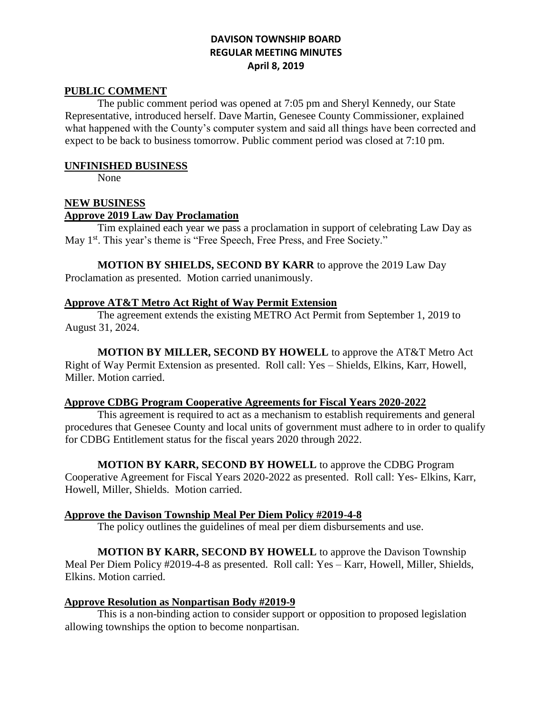#### **PUBLIC COMMENT**

The public comment period was opened at 7:05 pm and Sheryl Kennedy, our State Representative, introduced herself. Dave Martin, Genesee County Commissioner, explained what happened with the County's computer system and said all things have been corrected and expect to be back to business tomorrow. Public comment period was closed at 7:10 pm.

#### **UNFINISHED BUSINESS**

None

## **NEW BUSINESS**

#### **Approve 2019 Law Day Proclamation**

Tim explained each year we pass a proclamation in support of celebrating Law Day as May 1<sup>st</sup>. This year's theme is "Free Speech, Free Press, and Free Society."

**MOTION BY SHIELDS, SECOND BY KARR** to approve the 2019 Law Day Proclamation as presented. Motion carried unanimously.

#### **Approve AT&T Metro Act Right of Way Permit Extension**

The agreement extends the existing METRO Act Permit from September 1, 2019 to August 31, 2024.

**MOTION BY MILLER, SECOND BY HOWELL** to approve the AT&T Metro Act Right of Way Permit Extension as presented. Roll call: Yes – Shields, Elkins, Karr, Howell, Miller. Motion carried.

#### **Approve CDBG Program Cooperative Agreements for Fiscal Years 2020-2022**

This agreement is required to act as a mechanism to establish requirements and general procedures that Genesee County and local units of government must adhere to in order to qualify for CDBG Entitlement status for the fiscal years 2020 through 2022.

**MOTION BY KARR, SECOND BY HOWELL** to approve the CDBG Program Cooperative Agreement for Fiscal Years 2020-2022 as presented. Roll call: Yes- Elkins, Karr, Howell, Miller, Shields. Motion carried.

#### **Approve the Davison Township Meal Per Diem Policy #2019-4-8**

The policy outlines the guidelines of meal per diem disbursements and use.

### **MOTION BY KARR, SECOND BY HOWELL** to approve the Davison Township Meal Per Diem Policy #2019-4-8 as presented. Roll call: Yes – Karr, Howell, Miller, Shields, Elkins. Motion carried.

#### **Approve Resolution as Nonpartisan Body #2019-9**

This is a non-binding action to consider support or opposition to proposed legislation allowing townships the option to become nonpartisan.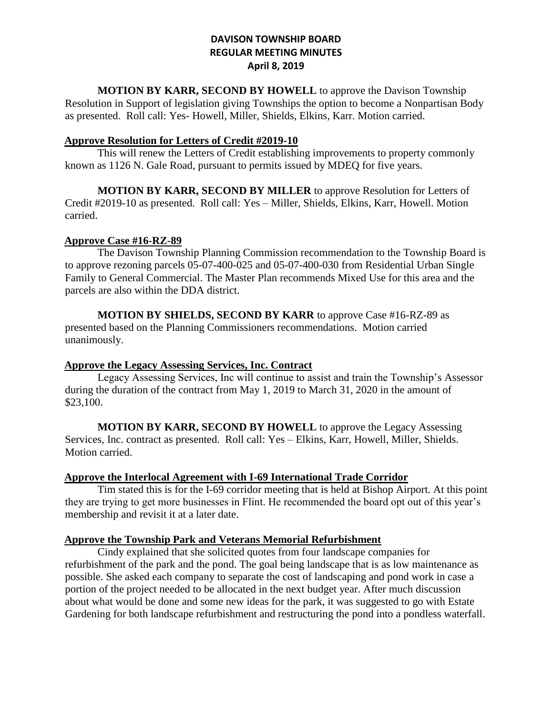**MOTION BY KARR, SECOND BY HOWELL** to approve the Davison Township Resolution in Support of legislation giving Townships the option to become a Nonpartisan Body as presented. Roll call: Yes- Howell, Miller, Shields, Elkins, Karr. Motion carried.

#### **Approve Resolution for Letters of Credit #2019-10**

This will renew the Letters of Credit establishing improvements to property commonly known as 1126 N. Gale Road, pursuant to permits issued by MDEQ for five years.

**MOTION BY KARR, SECOND BY MILLER** to approve Resolution for Letters of Credit #2019-10 as presented. Roll call: Yes – Miller, Shields, Elkins, Karr, Howell. Motion carried.

#### **Approve Case #16-RZ-89**

The Davison Township Planning Commission recommendation to the Township Board is to approve rezoning parcels 05-07-400-025 and 05-07-400-030 from Residential Urban Single Family to General Commercial. The Master Plan recommends Mixed Use for this area and the parcels are also within the DDA district.

**MOTION BY SHIELDS, SECOND BY KARR** to approve Case #16-RZ-89 as presented based on the Planning Commissioners recommendations. Motion carried unanimously.

#### **Approve the Legacy Assessing Services, Inc. Contract**

Legacy Assessing Services, Inc will continue to assist and train the Township's Assessor during the duration of the contract from May 1, 2019 to March 31, 2020 in the amount of \$23,100.

**MOTION BY KARR, SECOND BY HOWELL** to approve the Legacy Assessing Services, Inc. contract as presented. Roll call: Yes – Elkins, Karr, Howell, Miller, Shields. Motion carried.

#### **Approve the Interlocal Agreement with I-69 International Trade Corridor**

Tim stated this is for the I-69 corridor meeting that is held at Bishop Airport. At this point they are trying to get more businesses in Flint. He recommended the board opt out of this year's membership and revisit it at a later date.

#### **Approve the Township Park and Veterans Memorial Refurbishment**

Cindy explained that she solicited quotes from four landscape companies for refurbishment of the park and the pond. The goal being landscape that is as low maintenance as possible. She asked each company to separate the cost of landscaping and pond work in case a portion of the project needed to be allocated in the next budget year. After much discussion about what would be done and some new ideas for the park, it was suggested to go with Estate Gardening for both landscape refurbishment and restructuring the pond into a pondless waterfall.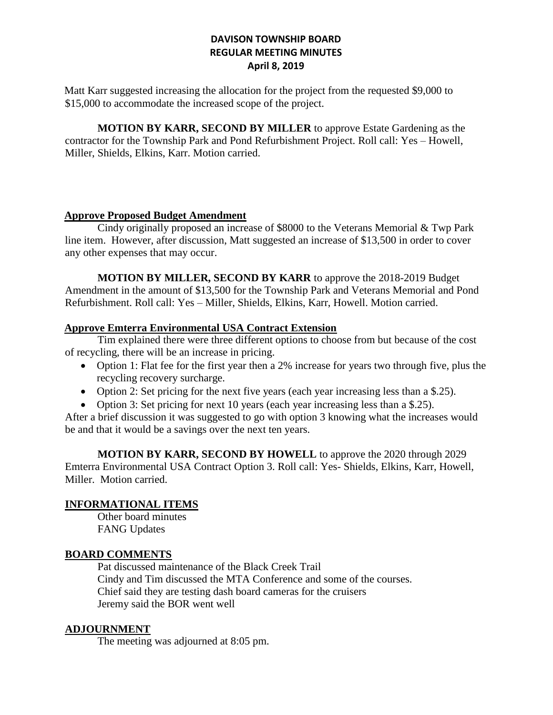Matt Karr suggested increasing the allocation for the project from the requested \$9,000 to \$15,000 to accommodate the increased scope of the project.

**MOTION BY KARR, SECOND BY MILLER** to approve Estate Gardening as the contractor for the Township Park and Pond Refurbishment Project. Roll call: Yes – Howell, Miller, Shields, Elkins, Karr. Motion carried.

## **Approve Proposed Budget Amendment**

Cindy originally proposed an increase of \$8000 to the Veterans Memorial & Twp Park line item. However, after discussion, Matt suggested an increase of \$13,500 in order to cover any other expenses that may occur.

**MOTION BY MILLER, SECOND BY KARR** to approve the 2018-2019 Budget Amendment in the amount of \$13,500 for the Township Park and Veterans Memorial and Pond Refurbishment. Roll call: Yes – Miller, Shields, Elkins, Karr, Howell. Motion carried.

# **Approve Emterra Environmental USA Contract Extension**

Tim explained there were three different options to choose from but because of the cost of recycling, there will be an increase in pricing.

- Option 1: Flat fee for the first year then a 2% increase for years two through five, plus the recycling recovery surcharge.
- Option 2: Set pricing for the next five years (each year increasing less than a \$.25).
- Option 3: Set pricing for next 10 years (each year increasing less than a \$.25).

After a brief discussion it was suggested to go with option 3 knowing what the increases would be and that it would be a savings over the next ten years.

**MOTION BY KARR, SECOND BY HOWELL** to approve the 2020 through 2029 Emterra Environmental USA Contract Option 3. Roll call: Yes- Shields, Elkins, Karr, Howell, Miller. Motion carried.

# **INFORMATIONAL ITEMS**

Other board minutes FANG Updates

# **BOARD COMMENTS**

Pat discussed maintenance of the Black Creek Trail Cindy and Tim discussed the MTA Conference and some of the courses. Chief said they are testing dash board cameras for the cruisers Jeremy said the BOR went well

# **ADJOURNMENT**

The meeting was adjourned at 8:05 pm.